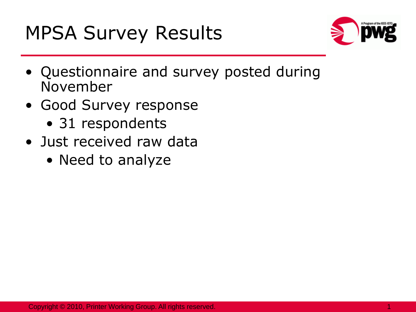

- Questionnaire and survey posted during November
- Good Survey response
	- 31 respondents
- Just received raw data
	- Need to analyze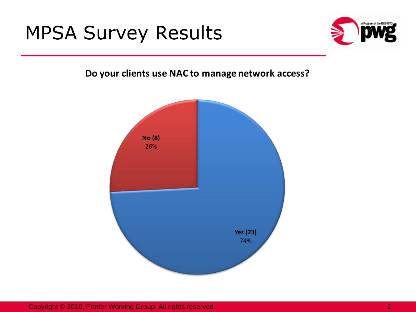

**Do your clients use NAC to manage network access?** 

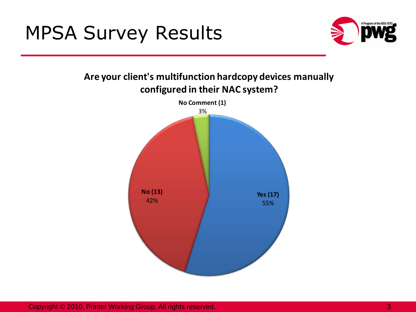

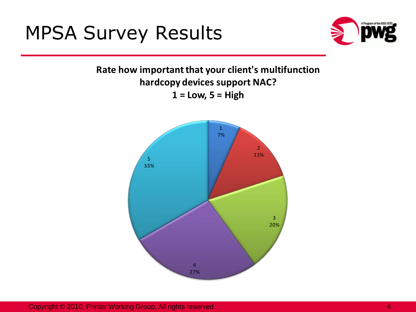

### **Rate how important that your client's multifunction hardcopy devices support NAC? 1 = Low, 5 = High**

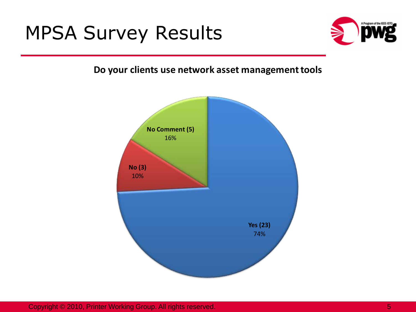

#### **Do your clients use network asset management tools**

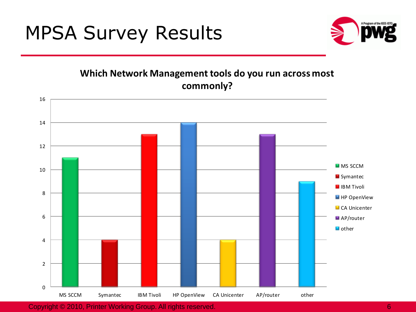

#### **Which Network Management tools do you run across most commonly?**

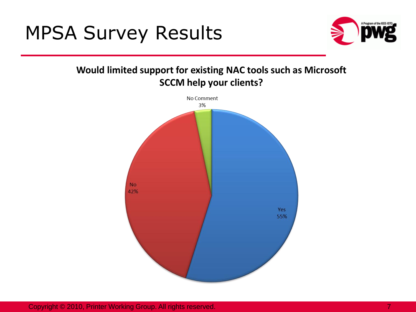

Would limited support for existing NAC tools such as Microsoft **SCCM help your clients?** 

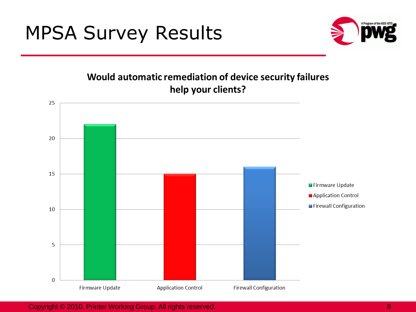

#### Would automatic remediation of device security failures help your clients?



Copyright © 2010, Printer Working Group. All rights reserved. 8 All and the state of the state of the state of the state of the state of the state of the state of the state of the state of the state of the state of the sta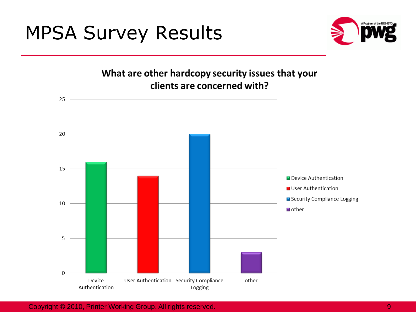

What are other hardcopy security issues that your clients are concerned with?

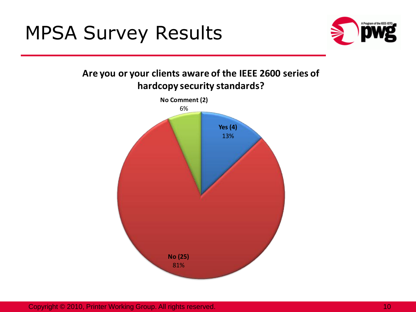

#### **Are you or your clients aware of the IEEE 2600 series of hardcopy security standards?**